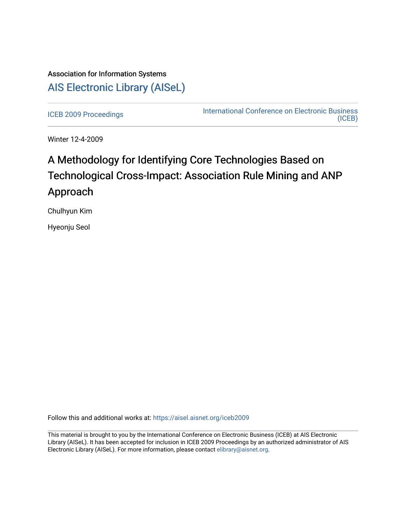## Association for Information Systems [AIS Electronic Library \(AISeL\)](https://aisel.aisnet.org/)

[ICEB 2009 Proceedings](https://aisel.aisnet.org/iceb2009) **International Conference on Electronic Business** [\(ICEB\)](https://aisel.aisnet.org/iceb) 

Winter 12-4-2009

# A Methodology for Identifying Core Technologies Based on Technological Cross-Impact: Association Rule Mining and ANP Approach

Chulhyun Kim

Hyeonju Seol

Follow this and additional works at: [https://aisel.aisnet.org/iceb2009](https://aisel.aisnet.org/iceb2009?utm_source=aisel.aisnet.org%2Ficeb2009%2F94&utm_medium=PDF&utm_campaign=PDFCoverPages)

This material is brought to you by the International Conference on Electronic Business (ICEB) at AIS Electronic Library (AISeL). It has been accepted for inclusion in ICEB 2009 Proceedings by an authorized administrator of AIS Electronic Library (AISeL). For more information, please contact [elibrary@aisnet.org.](mailto:elibrary@aisnet.org%3E)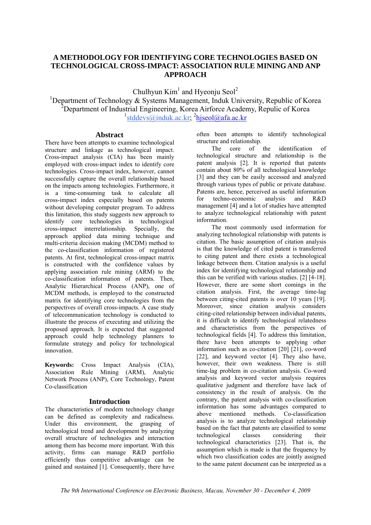## **A METHODOLOGY FOR IDENTIFYING CORE TECHNOLOGIES BASED ON TECHNOLOGICAL CROSS-IMPACT: ASSOCIATION RULE MINING AND ANP APPROACH**

Chulhyun  $Kim<sup>1</sup>$  and Hyeonju Seol<sup>2</sup>

<sup>1</sup>Department of Technology & Systems Management, Induk University, Republic of Korea <sup>2</sup>Department of Industrial Engineering, Korea Airforce Academy, Repulic of Korea <sup>1</sup>stddevs@induk.ac.kr; <sup>2</sup>hjseol@afa.ac.kr

### **Abstract**

There have been attempts to examine technological structure and linkage as technological impact. Cross-impact analysis (CIA) has been mainly employed with cross-impact index to identify core technologies. Cross-impact index, however, cannot successfully capture the overall relationship based on the impacts among technologies. Furthermore, it is a time-consuming task to calculate all cross-impact index especially based on patents without developing computer program. To address this limitation, this study suggests new approach to identify core technologies in technological cross-impact interrelationship. Specially, the approach applied data mining technique and multi-criteria decision making (MCDM) method to the co-classification information of registered patents. At first, technological cross-impact matrix is constructed with the confidence values by applying association rule mining (ARM) to the co-classification information of patents. Then, Analytic Hierarchical Process (ANP), one of MCDM methods, is employed to the constructed matrix for identifying core technologies from the perspectives of overall cross-impacts. A case study of telecommunication technology is conducted to illustrate the process of executing and utilizing the proposed approach. It is expected that suggested approach could help technology planners to formulate strategy and policy for technological innovation.

**Keywords:** Cross Impact Analysis (CIA), Association Rule Mining (ARM), Analytic Network Process (ANP), Core Technology, Patent Co-classification

## **Introduction**

The characteristics of modern technology change can be defined as complexity and radicalness. Under this environment, the grasping of technological trend and development by analyzing overall structure of technologies and interaction among them has become more important. With this activity, firms can manage R&D portfolio efficiently thus competitive advantage can be gained and sustained [1]. Consequently, there have

often been attempts to identify technological structure and relationship.

The core of the identification of technological structure and relationship is the patent analysis [2]. It is reported that patents contain about 80% of all technological knowledge [3] and they can be easily accessed and analyzed through various types of public or private database. Patents are, hence, perceived as useful information for techno-economic analysis and R&D management [4] and a lot of studies have attempted to analyze technological relationship with patent information.

The most commonly used information for analyzing technological relationship with patents is citation. The basic assumption of citation analysis is that the knowledge of cited patent is transferred to citing patent and there exists a technological linkage between them. Citation analysis is a useful index for identifying technological relationship and this can be verified with various studies. [2] [4-18]. However, there are some short comings in the citation analysis. First, the average time-lag between citing-cited patents is over 10 years [19]. Moreover, since citation analysis considers citing-cited relationship between individual patents, it is difficult to identify technological relatedness and characteristics from the perspectives of technological fields [4]. To address this limitation, there have been attempts to applying other information such as co-citation [20] [21], co-word [22], and keyword vector [4]. They also have, however, their own weakness. There is still time-lag problem in co-citation analysis. Co-word analysis and keyword vector analysis requires qualitative judgment and therefore have lack of consistency in the result of analysis. On the contrary, the patent analysis with co-classification information has some advantages compared to above mentioned methods. Co-classification analysis is to analyze technological relationship based on the fact that patents are classified to some technological classes considering their technological characteristics [23]. That is, the assumption which is made is that the frequency by which two classification codes are jointly assigned to the same patent document can be interpreted as a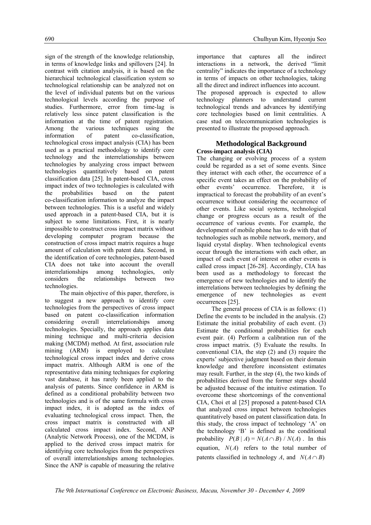sign of the strength of the knowledge relationship, in terms of knowledge links and spillovers [24]. In contrast with citation analysis, it is based on the hierarchical technological classification system so technological relationship can be analyzed not on the level of individual patents but on the various technological levels according the purpose of studies. Furthermore, error from time-lag is relatively less since patent classification is the information at the time of patent registration. Among the various techniques using the information of patent co-classification, technological cross impact analysis (CIA) has been used as a practical methodology to identify core technology and the interrelationships between technologies by analyzing cross impact between technologies quantitatively based on patent classification data [25]. In patent-based CIA, cross impact index of two technologies is calculated with the probabilities based on the patent co-classification information to analyze the impact between technologies. This is a useful and widely used approach in a patent-based CIA, but it is subject to some limitations. First, it is nearly impossible to construct cross impact matrix without developing computer program because the construction of cross impact matrix requires a huge amount of calculation with patent data. Second, in the identification of core technologies, patent-based CIA does not take into account the overall interrelationships among technologies, only considers the relationships between two technologies.

The main objective of this paper, therefore, is to suggest a new approach to identify core technologies from the perspectives of cross impact based on patent co-classification information considering overall interrelationships among technologies. Specially, the approach applies data mining technique and multi-criteria decision making (MCDM) method. At first, association rule mining (ARM) is employed to calculate technological cross impact index and derive cross impact matrix. Although ARM is one of the representative data mining techniques for exploring vast database, it has rarely been applied to the analysis of patents. Since confidence in ARM is defined as a conditional probability between two technologies and is of the same formula with cross impact index, it is adopted as the index of evaluating technological cross impact. Then, the cross impact matrix is constructed with all calculated cross impact index. Second, ANP (Analytic Network Process), one of the MCDM, is applied to the derived cross impact matrix for identifying core technologies from the perspectives of overall interrelationships among technologies. Since the ANP is capable of measuring the relative

importance that captures all the indirect interactions in a network, the derived "limit centrality" indicates the importance of a technology in terms of impacts on other technologies, taking all the direct and indirect influences into account. The proposed approach is expected to allow technology planners to understand current technological trends and advances by identifying core technologies based on limit centralities. A case stud on telecommunication technologies is presented to illustrate the proposed approach.

## **Methodological Background Cross-impact analysis (CIA)**

The changing or evolving process of a system could be regarded as a set of some events. Since they interact with each other, the occurrence of a specific event takes an effect on the probability of other events' occurrence. Therefore, it is impractical to forecast the probability of an event's occurrence without considering the occurrence of other events. Like social systems, technological change or progress occurs as a result of the occurrence of various events. For example, the development of mobile phone has to do with that of technologies such as mobile network, memory, and liquid crystal display. When technological events occur through the interactions with each other, an impact of each event of interest on other events is called cross impact [26-28]. Accordingly, CIA has been used as a methodology to forecast the emergence of new technologies and to identify the interrelations between technologies by defining the emergence of new technologies as event occurrences [25].

The general process of CIA is as follows: (1) Define the events to be included in the analysis. (2) Estimate the initial probability of each event. (3) Estimate the conditional probabilities for each event pair. (4) Perform a calibration run of the cross impact matrix. (5) Evaluate the results. In conventional CIA, the step (2) and (3) require the experts' subjective judgment based on their domain knowledge and therefore inconsistent estimates may result. Further, in the step (4), the two kinds of probabilities derived from the former steps should be adjusted because of the intuitive estimation. To overcome these shortcomings of the conventional CIA, Choi et al [25] proposed a patent-based CIA that analyzed cross impact between technologies quantitatively based on patent classification data. In this study, the cross impact of technology 'A' on the technology 'B' is defined as the conditional probability  $P(B | A) = N(A \cap B) / N(A)$ . In this equation,  $N(A)$  refers to the total number of patents classified in technology *A*, and  $N(A \cap B)$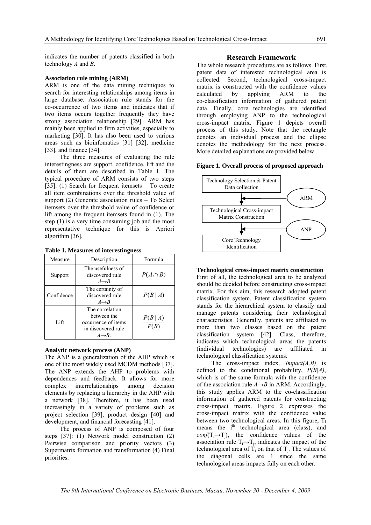indicates the number of patents classified in both technology *A* and *B*.

#### **Association rule mining (ARM)**

ARM is one of the data mining techniques to search for interesting relationships among items in large database. Association rule stands for the co-occurrence of two items and indicates that if two items occurs together frequently they have strong association relationship [29]. ARM has mainly been applied to firm activities, especially to marketing [30]. It has also been used to various areas such as bioinfomatics [31] [32], medicine [33], and finance [34].

The three measures of evaluating the rule interestingness are support, confidence, lift and the details of them are described in Table 1. The typical procedure of ARM consists of two steps [35]: (1) Search for frequent itemsets – To create all item combinations over the threshold value of support (2) Generate association rules – To Select itemsets over the threshold value of confidence or lift among the frequent itemsets found in (1). The step (1) is a very time consuming job and the most representative technique for this is Apriori algorithm [36].

| Measure    | Description                                                                                        | Formula        |
|------------|----------------------------------------------------------------------------------------------------|----------------|
| Support    | The usefulness of<br>discovered rule<br>$A \rightarrow B$                                          | $P(A \cap B)$  |
| Confidence | The certainty of<br>discovered rule<br>$A \rightarrow B$                                           | P(B A)         |
| Lift       | The correlation<br>between the<br>occurrence of items<br>in discovered rule<br>$A \rightarrow B$ . | P(B A)<br>P(B) |

**Table 1. Measures of interestingness**

#### **Analytic network process (ANP)**

The ANP is a generalization of the AHP which is one of the most widely used MCDM methods [37]. The ANP extends the AHP to problems with dependences and feedback. It allows for more complex interrelationships among decision elements by replacing a hierarchy in the AHP with a network [38]. Therefore, it has been used increasingly in a variety of problems such as project selection [39], product design [40] and development, and financial forecasting [41].

The process of ANP is composed of four steps [37]: (1) Network model construction (2) Pairwise comparison and priority vectors (3) Supermatrix formation and transformation (4) Final priorities.

#### **Research Framework**

The whole research procedures are as follows. First, patent data of interested technological area is collected. Second, technological cross-impact matrix is constructed with the confidence values calculated by applying ARM to the co-classification information of gathered patent data. Finally, core technologies are identified through employing ANP to the technological cross-impact matrix. Figure 1 depicts overall process of this study. Note that the rectangle denotes an individual process and the ellipse denotes the methodology for the next process. More detailed explanations are provided below.

#### **Figure 1. Overall process of proposed approach**



#### **Technological cross-impact matrix construction**

First of all, the technological area to be analyzed should be decided before constructing cross-impact matrix. For this aim, this research adopted patent classification system. Patent classification system stands for the hierarchical system to classify and manage patents considering their technological characteristics. Generally, patents are affiliated to more than two classes based on the patent classification system [42]. Class, therefore, indicates which technological areas the patents (individual technologies) are affiliated in technological classification systems.

The cross-impact index, *Impact(A,B)* is defined to the conditional probability, *P(B|A)*, which is of the same formula with the confidence of the association rule  $A \rightarrow B$  in ARM. Accordingly, this study applies ARM to the co-classification information of gathered patents for constructing cross-impact matrix. Figure 2 expresses the cross-impact matrix with the confidence value between two technological areas. In this figure,  $T_i$ means the i<sup>th</sup> technological area (class), and  $conf(T_i \rightarrow T_i)$ , the confidence values of the association rule  $T_i \rightarrow T_i$ , indicates the impact of the technological area of  $\tilde{T}_i$  on that of  $T_i$ . The values of the diagonal cells are 1 since the same technological areas impacts fully on each other.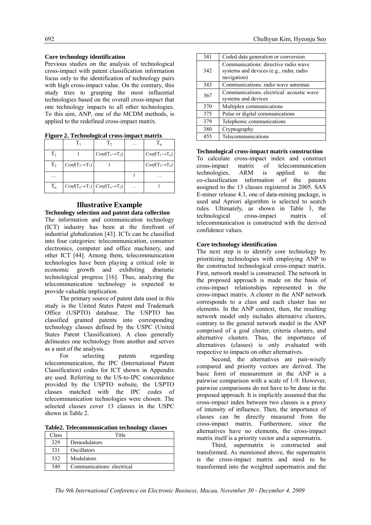#### **Core technology identification**

Previous studies on the analysis of technological cross-impact with patent classification information focus only to the identification of technology pairs with high cross-impact value. On the contrary, this study tries to grasping the most influential technologies based on the overall cross-impact that one technology impacts to all other technologies. To this aim, ANP, one of the MCDM methods, is applied to the redefined cross-impact matrix.

|  |                             | $\cdots$ |                             |
|--|-----------------------------|----------|-----------------------------|
|  | $Conf(T_1 \rightarrow T_2)$ |          | $Conf(T_1 \rightarrow T_n)$ |
|  |                             |          |                             |

**Figure 2. Technological cross-impact matrix**

## $T_2$   $\left|\text{Conf}(T_2 \rightarrow T_1)\right|$  1  $\left|\text{Conf}(T_2 \rightarrow T_n)\right|$ … 1 …  $T_n$  *Conf*( $T_n \rightarrow T_1$ ) *Conf*( $T_n \rightarrow T_2$ ) … 1

#### **Illustrative Example**

**Technology selection and patent data collection**  The information and communication technology (ICT) industry has been at the forefront of

industrial globalization [43]. ICTs can be classified into four categories: telecommunication, consumer electronics, computer and office machinery, and other ICT [44]. Among them, telecommunication technologies have been playing a critical role in economic growth and exhibiting dramatic technological progress [16]. Thus, analyzing the telecommunication technology is expected to provide valuable implication.

The primary source of patent data used in this study is the United States Patent and Trademark Office (USPTO) database. The USPTO has classified granted patents into corresponding technology classes defined by the USPC (United States Patent Classification). A class generally delineates one technology from another and serves as a unit of the analysis.

For selecting patents regarding telecommunication, the IPC (International Patent Classification) codes for ICT shown in Appendix are used. Referring to the US-to-IPC concordance provided by the USPTO website, the USPTO classes matched with the IPC codes of telecommunication technologies were chosen. The selected classes cover 13 classes in the USPC shown in Table 2.

**Table2. Telecommunication technology classes** 

| Class | Title                      |
|-------|----------------------------|
| 329   | Demodulators               |
| 331   | Oscillators                |
| 332   | Modulators                 |
| 340   | Communications: electrical |

| 341 | Coded data generation or conversion                                                            |
|-----|------------------------------------------------------------------------------------------------|
| 342 | Communications: directive radio wave<br>systems and devices (e.g., radar, radio<br>navigation) |
| 343 | Communications: radio wave antennas                                                            |
| 367 | Communications, electrical: acoustic wave<br>systems and devices                               |
| 370 | Multiplex communications                                                                       |
| 375 | Pulse or digital communications                                                                |
| 379 | Telephonic communications                                                                      |
| 380 | Cryptography                                                                                   |
| 455 | Telecommunications                                                                             |

#### **Technological cross-impact matrix construction**

To calculate cross-impact index and construct cross-impact matrix of telecommunication technologies, ARM is applied to the co-classification information of the patents assigned to the 13 classes registered in 2005. SAS E-miner release 4.3, one of data-mining package, is used and Apriori algorithm is selected to search rules. Ultimately, as shown in Table 3, the technological cross-impact matrix of telecommunication is constructed with the derived confidence values.

#### **Core technology identification**

The next step is to identify core technology by prioritizing technologies with employing ANP to the constructed technological cross-impact matrix. First, network model is constructed. The network in the proposed approach is made on the basis of cross-impact relationships represented in the cross-impact matrix. A cluster in the ANP network corresponds to a class and each cluster has no elements. In the ANP context, then, the resulting network model only includes alternative clusters, contrary to the general network model in the ANP comprised of a goal cluster, criteria clusters, and alternative clusters. Thus, the importance of alternatives (classes) is only evaluated with respective to impacts on other alternatives.

Second, the alternatives are pair-wisely compared and priority vectors are derived. The basic form of measurement in the ANP is a pairwise comparison with a scale of 1-9. However, pairwise comparisons do not have to be done in the proposed approach. It is implicitly assumed that the cross-impact index between two classes is a proxy of intensity of influence. Then, the importance of classes can be directly measured from the cross-impact matrix. Furthermore, since the alternatives have no elements, the cross-impact matrix itself is a priority vector and a supermatrix.

Third, supermatrix is constructed and transformed. As mentioned above, the supermatrix is the cross-impact matrix and need to be transformed into the weighted supermatrix and the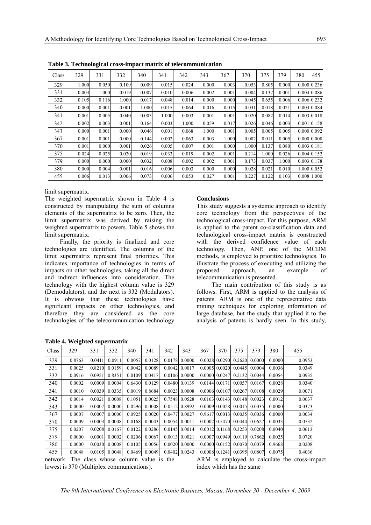| Class | 329   | 331   | 332   | 340   | 341   | 342   | 343   | 367   | 370   | 375   | 379   | 380 | 455              |
|-------|-------|-------|-------|-------|-------|-------|-------|-------|-------|-------|-------|-----|------------------|
| 329   | 1.000 | 0.050 | 0.109 | 0.009 | 0.015 | 0.024 | 0.000 | 0.003 | 0.053 | 0.805 | 0.000 |     | 0.000 0.236      |
| 331   | 0.003 | 1.000 | 0.019 | 0.007 | 0.010 | 0.006 | 0.002 | 0.001 | 0.004 | 0.137 | 0.001 |     | 0.004 0.086      |
| 332   | 0.105 | 0.116 | 1.000 | 0.017 | 0.048 | 0.014 | 0.000 | 0.000 | 0.045 | 0.655 | 0.006 |     | 0.006 0.232      |
| 340   | 0.000 | 0.001 | 0.001 | 1.000 | 0.015 | 0.064 | 0.016 | 0.015 | 0.031 | 0.018 | 0.021 |     | 0.003 0.084      |
| 341   | 0.001 | 0.005 | 0.040 | 0.003 | 1.000 | 0.003 | 0.001 | 0.001 | 0.020 | 0.082 | 0.014 |     | 0.003   0.018    |
| 342   | 0.002 | 0.003 | 0.001 | 0.164 | 0.003 | 1.000 | 0.059 | 0.017 | 0.026 | 0.046 | 0.003 |     | 0.001 0.158      |
| 343   | 0.000 | 0.001 | 0.000 | 0.046 | 0.001 | 0.068 | 1.000 | 0.001 | 0.005 | 0.005 | 0.005 |     | 0.000(0.092)     |
| 367   | 0.001 | 0.001 | 0.000 | 0.144 | 0.002 | 0.063 | 0.003 | 1.000 | 0.002 | 0.011 | 0.005 |     | 0.000   0.008    |
| 370   | 0.001 | 0.000 | 0.001 | 0.026 | 0.005 | 0.007 | 0.001 | 0.000 | 1.000 | 0.137 | 0.080 |     | $0.003 \, 0.181$ |
| 375   | 0.024 | 0.025 | 0.020 | 0.019 | 0.033 | 0.019 | 0.002 | 0.001 | 0.214 | 1.000 | 0.026 |     | $0.004 \, 0.152$ |
| 379   | 0.000 | 0.000 | 0.000 | 0.032 | 0.008 | 0.002 | 0.002 | 0.001 | 0.173 | 0.037 | 1.000 |     | 0.003   0.178    |
| 380   | 0.000 | 0.004 | 0.001 | 0.016 | 0.006 | 0.003 | 0.000 | 0.000 | 0.028 | 0.021 | 0.010 |     | 1.000 0.052      |
| 455   | 0.006 | 0.013 | 0.006 | 0.073 | 0.006 | 0.053 | 0.027 | 0.001 | 0.227 | 0.122 | 0.103 |     | 0.008 1.000      |

**Table 3. Technological cross-impact matrix of telecommunication** 

limit supermatrix.

The weighted supermatrix shown in Table 4 is constructed by manipulating the sum of columns elements of the supermatrix to be zero. Then, the limit supermatrix was derived by raising the weighted supermatrix to powers. Table 5 shows the limit supermatrix.

Finally, the priority is finalized and core technologies are identified. The columns of the limit supermatrix represent final priorities. This indicates importance of technologies in terms of impacts on other technologies, taking all the direct and indirect influences into consideration. The technology with the highest column value is 329 (Demodulators), and the next is 332 (Modulators). It is obvious that these technologies have significant impacts on other technologies, and therefore they are considered as the core technologies of the telecommunication technology

**Table 4. Weighted supermatrix** 

#### **Conclusions**

This study suggests a systemic approach to identify core technology from the perspectives of the technological cross-impact. For this purpose, ARM is applied to the patent co-classification data and technological cross-impact matrix is constructed with the derived confidence value of each technology. Then, ANP, one of the MCDM methods, is employed to prioritize technologies. To illustrate the process of executing and utilizing the approach, an example of telecommunication is presented.

The main contribution of this study is as follows. First, ARM is applied to the analysis of patents. ARM is one of the representative data mining techniques for exploring information of large database, but the study that applied it to the analysis of patents is hardly seen. In this study,

| Class | 329    | 331    | 332    | 340    | 341    | 342    | 343    | 367    | 370    | 375    | 379    | 380    | 455    |
|-------|--------|--------|--------|--------|--------|--------|--------|--------|--------|--------|--------|--------|--------|
| 329   | 0.8763 | 0.0411 | 0.0911 | 0.0057 | 0.0128 | 0.0178 | 0.0000 | 0.0028 | 0.0290 | 0.2620 | 0.0000 | 0.0000 | 0.0953 |
| 331   | 0.0025 | 0.8210 | 0.0159 | 0.0042 | 0.0089 | 0.0042 | 0.0017 | 0.0005 | 0.0020 | 0.0445 | 0.0004 | 0.0036 | 0.0349 |
| 332   | 0.0916 | 0.0951 | 0.8351 | 0.0109 | 0.0417 | 0.0106 | 0.0000 | 0.0000 | 0.0247 | 0.2132 | 0.0044 | 0.0054 | 0.0935 |
| 340   | 0.0002 | 0.0009 | 0.0004 | 0.6430 | 0.0129 | 0.0480 | 0.0139 | 0.0144 | 0.0171 | 0.0057 | 0.0167 | 0.0028 | 0.0340 |
| 341   | 0.0010 | 0.0039 | 0.0335 | 0.0019 | 0.8684 | 0.0023 | 0.0008 | 0.0006 | 0.0107 | 0.0267 | 0.0108 | 0.0029 | 0.0071 |
| 342   | 0.0014 | 0.0021 | 0.0008 | 0.1051 | 0.0025 | 0.7548 | 0.0528 | 0.0163 | 0.0143 | 0.0148 | 0.0023 | 0.0012 | 0.0637 |
| 343   | 0.0000 | 0.0007 | 0.0000 | 0.0296 | 0.0008 | 0.0512 | 0.8992 | 0.0009 | 0.0028 | 0.0015 | 0.0035 | 0.0000 | 0.0373 |
| 367   | 0.0007 | 0.0007 | 0.0000 | 0.0925 | 0.0020 | 0.0477 | 0.0027 | 0.9617 | 0.0013 | 0.0035 | 0.0036 | 0.0000 | 0.0034 |
| 370   | 0.0009 | 0.0003 | 0.0008 | 0.0168 | 0.0043 | 0.0054 | 0.0011 | 0.0002 | 0.5470 | 0.0444 | 0.0627 | 0.0033 | 0.0732 |
| 375   | 0.0207 | 0.0208 | 0.0167 | 0.0122 | 0.0286 | 0.0145 | 0.0014 | 0.0012 | 0.1168 | 0.3253 | 0.0208 | 0.0040 | 0.0613 |
| 379   | 0.0000 | 0.0001 | 0.0002 | 0.0206 | 0.0067 | 0.0013 | 0.0021 | 0.0007 | 0.0949 | 0.0119 | 0.7862 | 0.0025 | 0.0720 |
| 380   | 0.0000 | 0.0030 | 0.0008 | 0.0105 | 0.0056 | 0.0020 | 0.0000 | 0.0000 | 0.0152 | 0.0070 | 0.0079 | 0.9668 | 0.0208 |
| 455   | 0.0048 | 0.0105 | 0.0048 | 0.0469 | 0.0049 | 0.0402 | 0.0243 | 0.0008 | 0.1241 | 0.0395 | 0.0807 | 0.0075 | 0.4036 |

network. The class whose column value is the lowest is 370 (Multiplex communications).

ARM is employed to calculate the cross-impact index which has the same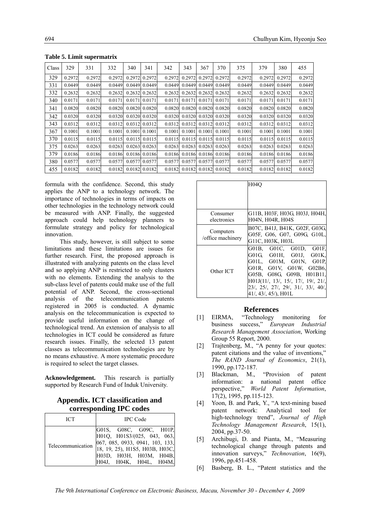| Class | 329    | 331    | 332    | 340    | 341                 | 342    | 343    | 367    | 370    | 375    | 379    | 380    | 455    |
|-------|--------|--------|--------|--------|---------------------|--------|--------|--------|--------|--------|--------|--------|--------|
| 329   | 0.2972 | 0.2972 | 0.2972 | 0.2972 | 0.2972              | 0.2972 | 0.2972 | 0.2972 | 0.2972 | 0.2972 | 0.2972 | 0.2972 | 0.2972 |
| 331   | 0.0449 | 0.0449 | 0.0449 |        | $0.0449$ 0.0449     | 0.0449 | 0.0449 | 0.0449 | 0.0449 | 0.0449 | 0.0449 | 0.0449 | 0.0449 |
| 332   | 0.2632 | 0.2632 | 0.2632 | 0.2632 | 0.2632              | 0.2632 | 0.2632 | 0.2632 | 0.2632 | 0.2632 | 0.2632 | 0.2632 | 0.2632 |
| 340   | 0.0171 | 0.0171 | 0.0171 | 0.0171 | 0.0171              | 0.0171 | 0.0171 | 0.0171 | 0.0171 | 0.0171 | 0.0171 | 0.0171 | 0.0171 |
| 341   | 0.0820 | 0.0820 | 0.0820 |        | 0.0820 0.0820       | 0.0820 | 0.0820 | 0.0820 | 0.0820 | 0.0820 | 0.0820 | 0.0820 | 0.0820 |
| 342   | 0.0320 | 0.0320 | 0.0320 |        | 0.0320 0.0320       | 0.0320 | 0.0320 | 0.0320 | 0.0320 | 0.0320 | 0.0320 | 0.0320 | 0.0320 |
| 343   | 0.0312 | 0.0312 | 0.0312 |        | 0.0312 0.0312       | 0.0312 | 0.0312 | 0.0312 | 0.0312 | 0.0312 | 0.0312 | 0.0312 | 0.0312 |
| 367   | 0.1001 | 0.1001 | 0.1001 |        | $0.1001$   $0.1001$ | 0.1001 | 0.1001 | 0.1001 | 0.1001 | 0.1001 | 0.1001 | 0.1001 | 0.1001 |
| 370   | 0.0115 | 0.0115 | 0.0115 | 0.0115 | 0.0115              | 0.0115 | 0.0115 | 0.0115 | 0.0115 | 0.0115 | 0.0115 | 0.0115 | 0.0115 |
| 375   | 0.0263 | 0.0263 | 0.0263 | 0.0263 | 0.0263              | 0.0263 | 0.0263 | 0.0263 | 0.0263 | 0.0263 | 0.0263 | 0.0263 | 0.0263 |
| 379   | 0.0186 | 0.0186 | 0.0186 |        | 0.0186 0.0186       | 0.0186 | 0.0186 | 0.0186 | 0.0186 | 0.0186 | 0.0186 | 0.0186 | 0.0186 |
| 380   | 0.0577 | 0.0577 | 0.0577 | 0.0577 | 0.0577              | 0.0577 | 0.0577 | 0.0577 | 0.0577 | 0.0577 | 0.0577 | 0.0577 | 0.0577 |
| 455   | 0.0182 | 0.0182 | 0.0182 |        | $0.0182$ 0.0182     | 0.0182 | 0.0182 | 0.0182 | 0.0182 | 0.0182 | 0.0182 | 0.0182 | 0.0182 |

**Table 5. Limit supermatrix** 

formula with the confidence. Second, this study applies the ANP to a technology network. The importance of technologies in terms of impacts on other technologies in the technology network could be measured with ANP. Finally, the suggested approach could help technology planners to formulate strategy and policy for technological innovation.

This study, however, is still subject to some limitations and these limitations are issues for further research. First, the proposed approach is illustrated with analyzing patents on the class level and so applying ANP is restricted to only clusters with no elements. Extending the analysis to the sub-class level of patents could make use of the full potential of ANP. Second, the cross-sectional analysis of the telecommunication patents registered in 2005 is conducted. A dynamic analysis on the telecommunication is expected to provide useful information on the change of technological trend. An extension of analysis to all technologies in ICT could be considered as future research issues. Finally, the selected 13 patent classes as telecommunication technologies are by no means exhaustive. A more systematic procedure is required to select the target classes.

**Acknowledgement.** This research is partially supported by Research Fund of Induk University.

## **Appendix. ICT classification and corresponding IPC codes**

| <b>ICT</b>        | <b>IPC</b> Code                                                                                                                                                                          |  |  |  |  |  |  |
|-------------------|------------------------------------------------------------------------------------------------------------------------------------------------------------------------------------------|--|--|--|--|--|--|
| Telecommunication | [G01S, G08C, G09C, H01P,<br>$H01Q$ , $H01S3/(025, 043, 063)$<br>067, 085, 0933, 0941, 103, 133,<br>[18, 19, 25), H1S5, H03B, H03C,<br>Н03D, Н03Н, Н03М, Н04В,<br>H04J, H04K, H04L, H04M, |  |  |  |  |  |  |

|                   | H04O                               |
|-------------------|------------------------------------|
|                   |                                    |
|                   |                                    |
| Consumer          | G11B, H03F, H03G, H03J, H04H,      |
| electronics       | <b>H04N, H04R, H04S</b>            |
| Computers         | B07C, B41J, B41K, G02F, G03G,      |
| /office machinery | G05F, G06, G07, G09G, G10L,        |
|                   | G11C, H03K, H03L                   |
|                   | G01B, G01C, G01D, G01F,            |
|                   | G01G, G01H, G01J, G01K,            |
|                   | G01L, G01M, G01N, G01P,            |
| Other ICT         | G01R, G01V, G01W, G02B6,           |
|                   | G05B, G08G, G09B, H01B11,          |
|                   | H01J(11/, 13/, 15/, 17/, 19/, 21/  |
|                   | 23/, 25/, 27/, 29/, 31/, 33/, 40/, |
|                   | 41/, 43/, 45/), H01L               |

#### **References**

- [1] EIRMA, "Technology monitoring for business success," *European Industrial Research Management Association*, Working Group 55 Report, 2000.
- [2] Trajtenberg, M., "A penny for your quotes: patent citations and the value of inventions," *The RAND Journal of Economics*, 21(1), 1990, pp.172-187.
- [3] Blackman, M., "Provision of patent information: a national patent office perspective," *World Patent Information*, 17(2), 1995, pp.115-123.
- [4] Yoon, B. and Park, Y., "A text-mining based patent network: Analytical tool for high-technology trend", *Journal of High Technology Management Research*, 15(1), 2004, pp.37-50.
- [5] Archibugi, D. and Pianta, M., "Measuring technological change through patents and innovation surveys," *Technovation*, 16(9), 1996, pp.451-458.
- [6] Basberg, B. L., "Patent statistics and the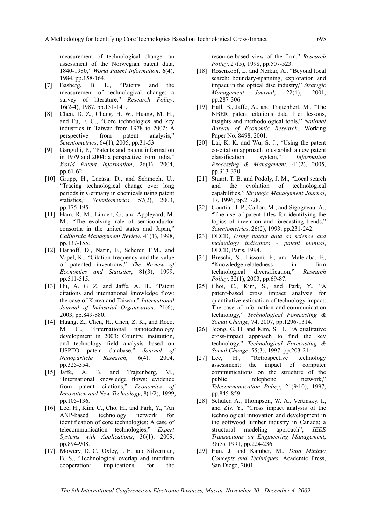measurement of technological change: an assessment of the Norwegian patent data, 1840-1980," *World Patent Information*, 6(4), 1984, pp.158-164.

- [7] Basberg, B. L., "Patents and the measurement of technological change: a survey of literature," *Research Policy*, 16(2-4), 1987, pp.131-141.
- [8] Chen, D. Z., Chang, H. W., Huang, M. H., and Fu, F. C., "Core technologies and key industries in Taiwan from 1978 to 2002: A perspective from patent analysis," *Scientometrics*, 64(1), 2005, pp.31-53.
- [9] Gangulli, P., "Patents and patent information in 1979 and 2004: a perspective from India," *World Patent Information*, 26(1), 2004, pp.61-62.
- [10] Grupp, H., Lacasa, D., and Schmoch, U., "Tracing technological change over long periods in Germany in chemicals using patent statistics," *Scientometrics*, 57(2), 2003, pp.175-195.
- [11] Ham, R. M., Linden, G., and Appleyard, M. M., "The evolving role of semiconductor consortia in the united states and Japan," *California Management Review*, 41(1), 1998, pp.137-155.
- [12] Harhoff, D., Narin, F., Scherer, F.M., and Vopel, K., "Citation frequency and the value of patented inventions," *The Review of Economics and Statistics*, 81(3), 1999, pp.511-515.
- [13] Hu, A. G. Z. and Jaffe, A. B., "Patent citations and international knowledge flow: the case of Korea and Taiwan," *International Journal of Industrial Organization*, 21(6), 2003, pp.849-880.
- [14] Huang, Z., Chen, H., Chen, Z. K., and Roco, M. C., "International nanotechnology development in 2003: Country, institution, and technology field analysis based on USPTO patent database," *Journal of Nanoparticle Research*, 6(4), 2004, pp.325-354.
- [15] Jaffe, A. B. and Trajtenberg, M., "International knowledge flows: evidence from patent citations," *Economics of Innovation and New Technology*, 8(1/2), 1999, pp.105-136.
- [16] Lee, H., Kim, C., Cho, H., and Park, Y., "An ANP-based technology network for identification of core technologies: A case of telecommunication technologies," *Expert Systems with Applications*, 36(1), 2009, pp.894-908.
- [17] Mowery, D. C., Oxley, J. E., and Silverman, B. S., "Technological overlap and interfirm cooperation: implications for the

resource-based view of the firm," *Research Policy*, 27(5), 1998, pp.507-523.

- [18] Rosenkopf, L. and Nerkar, A., "Beyond local search: boundary-spanning, exploration and impact in the optical disc industry," *Strategic Management Journal*, 22(4), 2001, pp.287-306.
- [19] Hall, B., Jaffe, A., and Trajtenbert, M., "The NBER patent citations data file: lessons, insights and methodological tools," *National Bureau of Economic Research*, Working Paper No. 8498, 2001.
- [20] Lai, K. K. and Wu, S. J., "Using the patent co-citation approach to establish a new patent classification system," *Information Processing & Management*, 41(2), 2005, pp.313-330.
- [21] Stuart, T. B. and Podoly, J. M., "Local search and the evolution of technological capabilities," *Strategic Management Journal*, 17, 1996, pp.21-28.
- [22] Courtial, J. P., Callon, M., and Sigogneau, A., "The use of patent titles for identifying the topics of invention and forecasting trends," *Scientometrics*, 26(2), 1993, pp.231-242.
- [23] OECD, *Using patent data as science and technology indicators - patent manual*, OECD, Paris, 1994.
- [24] Breschi, S., Lissoni, F., and Maleraba, F., "Knowledge-relatedness in firm technological diversification," *Research Policy*, 32(1), 2003, pp.69-87.
- [25] Choi, C., Kim, S., and Park, Y., "A patent-based cross impact analysis for quantitative estimation of technology impact: The case of information and communication technology," *Technological Forecasting & Social Change*, 74, 2007, pp.1296-1314.
- [26] Jeong, G. H. and Kim, S. H., "A qualitative cross-impact approach to find the key technology," *Technological Forecasting & Social Change*, 55(3), 1997, pp.203-214.
- [27] Lee, H., "Retrospective technology assessment: the impact of computer communications on the structure of the public telephone network," *Telecommunication Policy*, 21(9/10), 1997, pp.845-859.
- [28] Schuler, A., Thompson, W. A., Vertinsky, I., and Ziv, Y., "Cross impact analysis of the technological innovation and development in the softwood lumber industry in Canada: a structural modeling approach", *IEEE Transactions on Engineering Management*, 38(3), 1991, pp.224-236.
- [29] Han, J. and Kamber, M., *Data Mining: Concepts and Techniques*, Academic Press, San Diego, 2001.